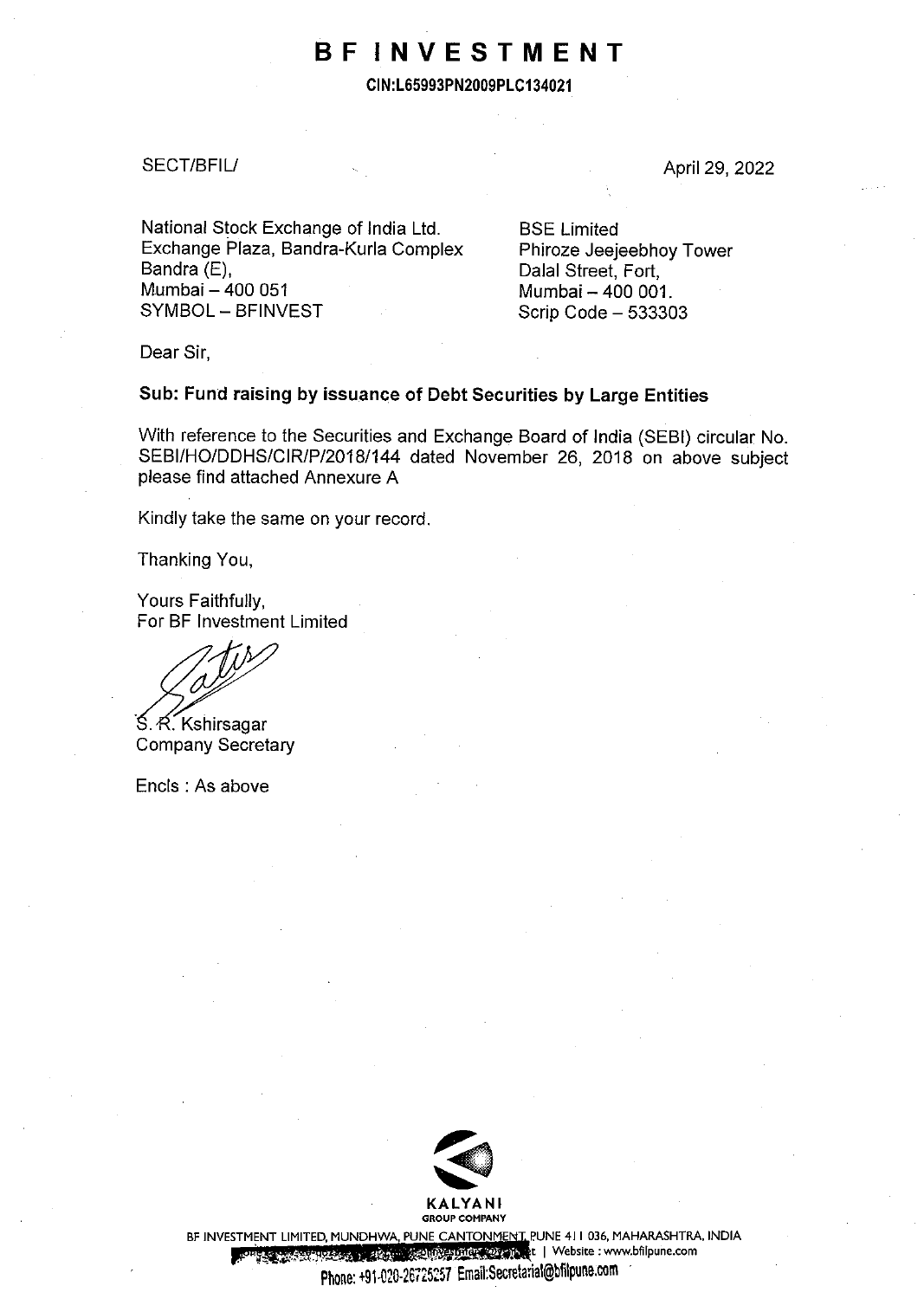# **BF INVESTMENT**

**CIN:L65993PN2009PLC134021** 

#### SECT/BFILL

April 29, 2022

National Stock Exchange of India Ltd. Exchange Plaza, Bandra-Kurla Complex Bandra (E), Mumbai - 400 051 SYMBOL - BFINVEST

**BSE Limited** Phiroze Jeejeebhoy Tower Dalal Street, Fort, Mumbai - 400 001. Scrip Code - 533303

Dear Sir,

### **Sub: Fund raising by issuance of Debt Securities by Large Entities**

With reference to the Securities and Exchange Board of India (SEBI) circular No. SEBI/HO/DDHS/CIR/P/2018/144 dated November 26, 2018 on above subject please find attached Annexure A

Kindly take the same on your record.

Thanking You,

Yours Faithfully, For BF Investment Limited

S. R. Kshirsagar Company Secretary

Encls : As above



BF INVESTMENT LIMITED, MUNDHWA, PUNE CANTONMENT, PUNE 411 036, MAHARASHTRA, INDIA .,; ;.<. .• , , . . ·•" , ,\_\_ • **t I Website : www.bfilpune.com** 

Phone: +gl-020-26725257 Email:Secretarial@bfilpune.com